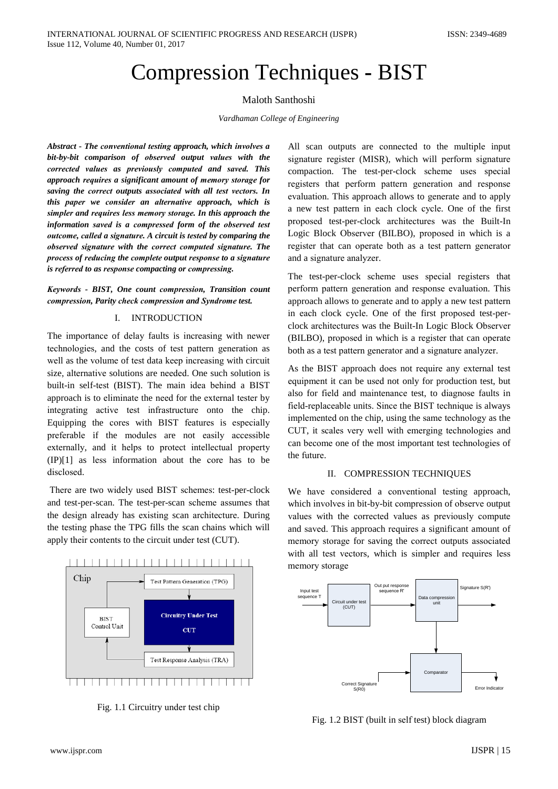# **Compression Techniques - BIST**

# Maloth Santhoshi

## Vardhaman College of Engineering

Abstract - The conventional testing approach, which involves a bit-by-bit comparison of observed output values with the corrected values as previously computed and saved. This approach requires a significant amount of memory storage for saving the correct outputs associated with all test vectors. In this paper we consider an alternative approach, which is simpler and requires less memory storage. In this approach the information saved is a compressed form of the observed test outcome, called a signature. A circuit is tested by comparing the observed signature with the correct computed signature. The process of reducing the complete output response to a signature is referred to as response compacting or compressing.

Keywords - BIST, One count compression, Transition count compression, Parity check compression and Syndrome test.

#### $\mathbf{L}$ **INTRODUCTION**

The importance of delay faults is increasing with newer technologies, and the costs of test pattern generation as well as the volume of test data keep increasing with circuit size, alternative solutions are needed. One such solution is built-in self-test (BIST). The main idea behind a BIST approach is to eliminate the need for the external tester by integrating active test infrastructure onto the chip. Equipping the cores with BIST features is especially preferable if the modules are not easily accessible externally, and it helps to protect intellectual property  $(IP)[1]$  as less information about the core has to be disclosed.

There are two widely used BIST schemes: test-per-clock and test-per-scan. The test-per-scan scheme assumes that the design already has existing scan architecture. During the testing phase the TPG fills the scan chains which will apply their contents to the circuit under test (CUT).



Fig. 1.1 Circuitry under test chip

All scan outputs are connected to the multiple input signature register (MISR), which will perform signature compaction. The test-per-clock scheme uses special registers that perform pattern generation and response evaluation. This approach allows to generate and to apply a new test pattern in each clock cycle. One of the first proposed test-per-clock architectures was the Built-In Logic Block Observer (BILBO), proposed in which is a register that can operate both as a test pattern generator and a signature analyzer.

The test-per-clock scheme uses special registers that perform pattern generation and response evaluation. This approach allows to generate and to apply a new test pattern in each clock cycle. One of the first proposed test-perclock architectures was the Built-In Logic Block Observer (BILBO), proposed in which is a register that can operate both as a test pattern generator and a signature analyzer.

As the BIST approach does not require any external test equipment it can be used not only for production test, but also for field and maintenance test, to diagnose faults in field-replaceable units. Since the BIST technique is always implemented on the chip, using the same technology as the CUT, it scales very well with emerging technologies and can become one of the most important test technologies of the future.

# II. COMPRESSION TECHNIQUES

We have considered a conventional testing approach, which involves in bit-by-bit compression of observe output values with the corrected values as previously compute and saved. This approach requires a significant amount of memory storage for saving the correct outputs associated with all test vectors, which is simpler and requires less memory storage



Fig. 1.2 BIST (built in self test) block diagram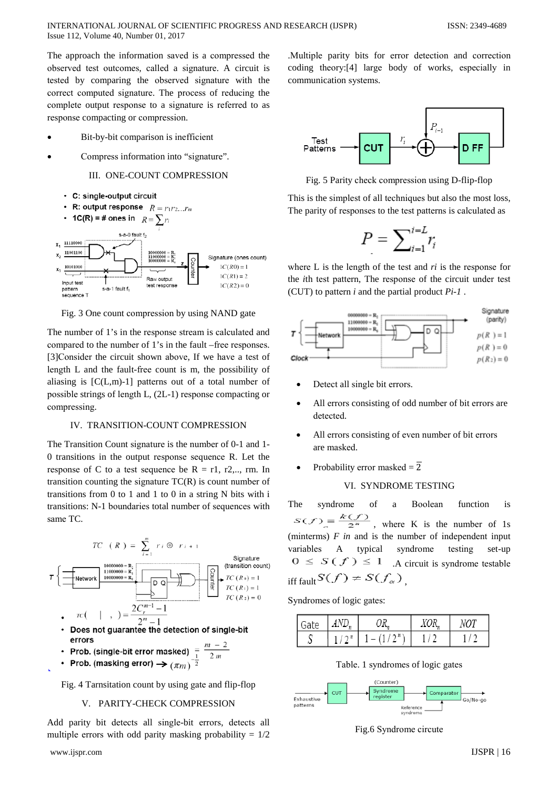The approach the information saved is a compressed the observed test outcomes, called a signature. A circuit is tested by comparing the observed signature with the correct computed signature. The process of reducing the complete output response to a signature is referred to as response compacting or compression.

- Bit-by-bit comparison is inefficient
- Compress information into "signature".

# III. ONE-COUNT COMPRESSION

- C: single-output circuit
- **R:** output response  $R = r_1 r_2 ... r_m$  $\bullet$



Fig. 3 One count compression by using NAND gate

The number of 1's in the response stream is calculated and compared to the number of 1's in the fault –free responses. [3] Consider the circuit shown above. If we have a test of length L and the fault-free count is m, the possibility of aliasing is  $[C(L,m)-1]$  patterns out of a total number of possible strings of length L, (2L-1) response compacting or compressing.

## IV. TRANSITION-COUNT COMPRESSION

The Transition Count signature is the number of 0-1 and 1-0 transitions in the output response sequence R. Let the response of C to a test sequence be  $R = r1$ , r2,.., rm. In transition counting the signature  $TC(R)$  is count number of transitions from  $0$  to  $1$  and  $1$  to  $0$  in a string N bits with i transitions: N-1 boundaries total number of sequences with same TC.



- Does not guarantee the detection of single-bit errors
- Prob. (single-bit error masked)  $=\frac{m-2}{2m}$ <br>Prob. (masking error)
- Prob. (masking error)  $\rightarrow$   $(\pi m)^{-\frac{1}{2}}$

Fig. 4 Tarnsitation count by using gate and flip-flop

# V. PARITY-CHECK COMPRESSION

Add parity bit detects all single-bit errors, detects all multiple errors with odd parity masking probability =  $1/2$ 

.Multiple parity bits for error detection and correction coding theory:[4] large body of works, especially in communication systems.



Fig. 5 Parity check compression using D-flip-flop

This is the simplest of all techniques but also the most loss, The parity of responses to the test patterns is calculated as

$$
P = \sum_{i=1}^{i=L} r_i
$$

where L is the length of the test and  $ri$  is the response for the *i*th test pattern, The response of the circuit under test (CUT) to pattern  $i$  and the partial product  $Pi - I$ .



- Detect all single bit errors.
- All errors consisting of odd number of bit errors are detected.
- All errors consisting of even number of bit errors are masked.
- Probability error masked =  $\overline{2}$

# VI. SYNDROME TESTING

syndrome The of a Boolean function is  $S(f) = \frac{k(f)}{2^n}$ , where K is the number of 1s (minterms)  $F$  in and is the number of independent input variables  $\mathbf{A}$ typical syndrome testing set-up  $0 \leq S(f) \leq 1$  . A circuit is syndrome testable iff fault  $S(f) \neq S(f_\alpha)$ 

Syndromes of logic gates:

| Gate | AND | מו |  |
|------|-----|----|--|
|      |     |    |  |

Table. 1 syndromes of logic gates



Fig.6 Syndrome circute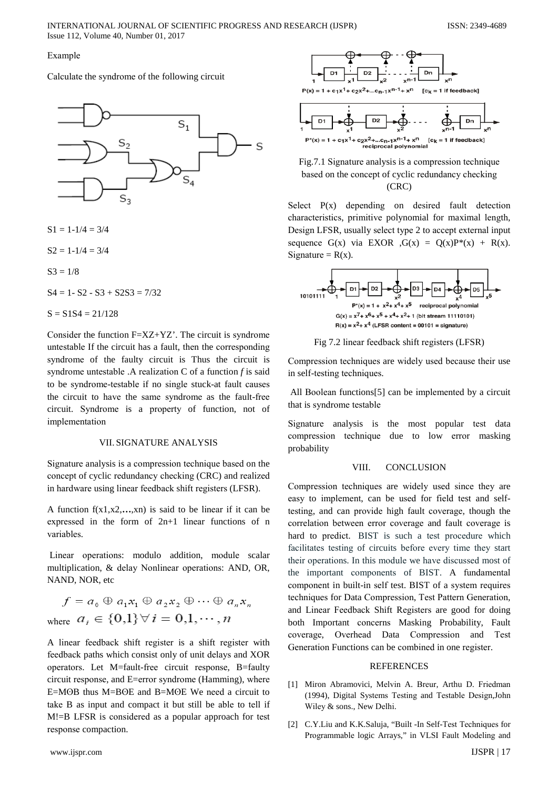## Example

Calculate the syndrome of the following circuit



 $S1 = 1-1/4 = 3/4$ 

 $S2 = 1-1/4 = 3/4$ 

$$
S3=1/8
$$

$$
S4 = 1 - S2 - S3 + S2S3 = 7/32
$$

 $S = S1S4 = 21/128$ 

Consider the function  $F = XZ + YZ'$ . The circuit is syndrome untestable If the circuit has a fault, then the corresponding syndrome of the faulty circuit is Thus the circuit is syndrome untestable .A realization  $C$  of a function  $f$  is said to be syndrome-testable if no single stuck-at fault causes the circuit to have the same syndrome as the fault-free circuit. Syndrome is a property of function, not of implementation

# **VIL SIGNATURE ANALYSIS**

Signature analysis is a compression technique based on the concept of cyclic redundancy checking (CRC) and realized in hardware using linear feedback shift registers (LFSR).

A function  $f(x_1, x_2, \ldots, x_n)$  is said to be linear if it can be expressed in the form of 2n+1 linear functions of n variables.

Linear operations: modulo addition, module scalar multiplication, & delay Nonlinear operations: AND, OR, NAND, NOR, etc

 $f = a_0 \oplus a_1 x_1 \oplus a_2 x_2 \oplus \cdots \oplus a_n x_n$ where  $a_i \in \{0,1\} \forall i = 0,1,\dots, n$ 

A linear feedback shift register is a shift register with feedback paths which consist only of unit delays and XOR operators. Let M=fault-free circuit response, B=faulty circuit response, and E=error syndrome (Hamming), where E=MOB thus M=BOE and B=MOE We need a circuit to take B as input and compact it but still be able to tell if M!=B LFSR is considered as a popular approach for test response compaction.



Fig.7.1 Signature analysis is a compression technique based on the concept of cyclic redundancy checking  $(CRC)$ 

Select  $P(x)$  depending on desired fault detection characteristics, primitive polynomial for maximal length, Design LFSR, usually select type 2 to accept external input sequence  $G(x)$  via EXOR  $,G(x) = Q(x)P^*(x) + R(x)$ . Signature =  $R(x)$ .



Fig 7.2 linear feedback shift registers (LFSR)

Compression techniques are widely used because their use in self-testing techniques.

All Boolean functions[5] can be implemented by a circuit that is syndrome testable

Signature analysis is the most popular test data compression technique due to low error masking probability

#### VIII. **CONCLUSION**

Compression techniques are widely used since they are easy to implement, can be used for field test and selftesting, and can provide high fault coverage, though the correlation between error coverage and fault coverage is hard to predict. BIST is such a test procedure which facilitates testing of circuits before every time they start their operations. In this module we have discussed most of the important components of BIST. A fundamental component in built-in self test. BIST of a system requires techniques for Data Compression, Test Pattern Generation, and Linear Feedback Shift Registers are good for doing both Important concerns Masking Probability, Fault coverage, Overhead Data Compression and Test Generation Functions can be combined in one register.

## **REFERENCES**

- [1] Miron Abramovici, Melvin A. Breur, Arthu D. Friedman (1994), Digital Systems Testing and Testable Design, John Wiley & sons., New Delhi.
- [2] C.Y.Liu and K.K.Saluja, "Built -In Self-Test Techniques for Programmable logic Arrays," in VLSI Fault Modeling and